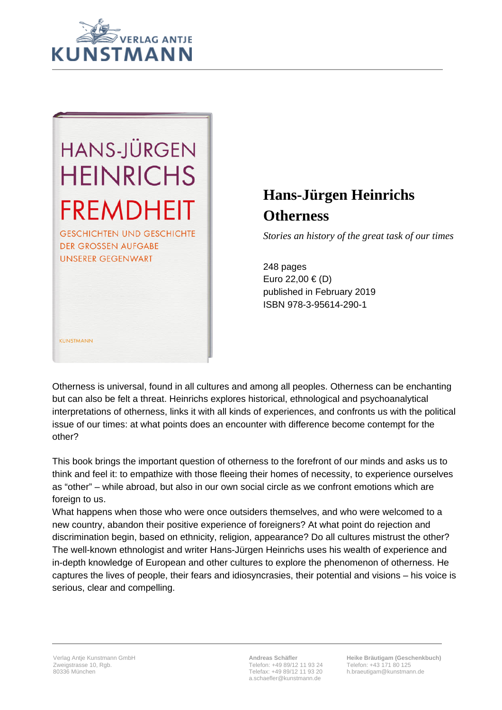

## **HANS-JÜRGEN HEINRICHS FREMDHEIT**

**GESCHICHTEN UND GESCHICHTE DER GROSSEN AUFGABE UNSERER GEGENWART** 

KUNSTMANN

## **Hans-Jürgen Heinrichs Otherness**

*Stories an history of the great task of our times*

248 pages Euro 22,00 € (D) published in February 2019 ISBN 978-3-95614-290-1

Otherness is universal, found in all cultures and among all peoples. Otherness can be enchanting but can also be felt a threat. Heinrichs explores historical, ethnological and psychoanalytical interpretations of otherness, links it with all kinds of experiences, and confronts us with the political issue of our times: at what points does an encounter with difference become contempt for the other?

This book brings the important question of otherness to the forefront of our minds and asks us to think and feel it: to empathize with those fleeing their homes of necessity, to experience ourselves as "other" – while abroad, but also in our own social circle as we confront emotions which are foreign to us.

What happens when those who were once outsiders themselves, and who were welcomed to a new country, abandon their positive experience of foreigners? At what point do rejection and discrimination begin, based on ethnicity, religion, appearance? Do all cultures mistrust the other? The well-known ethnologist and writer Hans-Jürgen Heinrichs uses his wealth of experience and in-depth knowledge of European and other cultures to explore the phenomenon of otherness. He captures the lives of people, their fears and idiosyncrasies, their potential and visions – his voice is serious, clear and compelling.